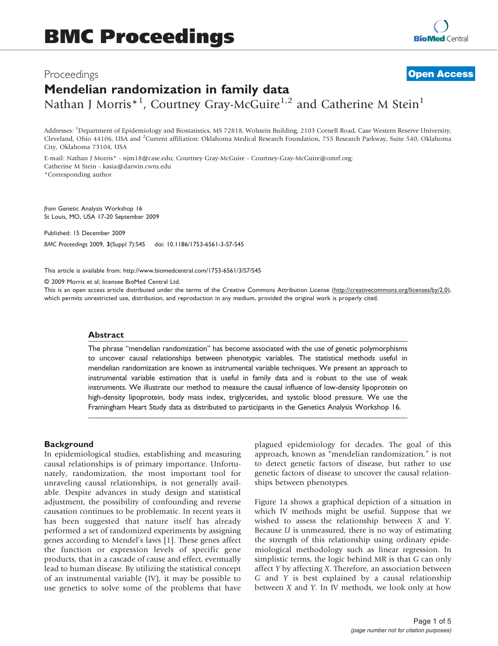# Proceedings Mendelian randomization in family data Nathan J Morris<sup>\*1</sup>, Courtney Gray-McGuire<sup>1,2</sup> and Catherine M Stein<sup>1</sup> **[Open Access](http://www.biomedcentral.com/info/about/charter/)**

Addresses: <sup>1</sup>Department of Epidemiology and Biostatistics, MS 72818, Wolstein Building, 2103 Cornell Road, Case Western Reserve University, Cleveland, Ohio 44106, USA and <sup>2</sup>Current affiliation: Oklahoma Medical Research Foundation, 755 Research Parkway, Suite 540, Oklahoma City, Oklahoma 73104, USA

E-mail: Nathan J Morris\* - [njm18@case.edu](mailto:njm18@case.edu); Courtney Gray-McGuire - [Courtney-Gray-McGuire@omrf.org;](mailto:Courtney-Gray-McGuire@omrf.org) Catherine M Stein - [kasia@darwin.cwru.edu](mailto:kasia@darwin.cwru.edu) \*Corresponding author

from Genetic Analysis Workshop 16 St Louis, MO, USA 17-20 September 2009

Published: 15 December 2009 BMC Proceedings 2009, 3(Suppl 7):S45 doi: 10.1186/1753-6561-3-S7-S45

This article is available from: http://www.biomedcentral.com/1753-6561/3/S7/S45

© 2009 Morris et al; licensee BioMed Central Ltd.

This is an open access article distributed under the terms of the Creative Commons Attribution License [\(http://creativecommons.org/licenses/by/2.0\)](http://creativecommons.org/licenses/by/2.0), which permits unrestricted use, distribution, and reproduction in any medium, provided the original work is properly cited.

## Abstract

The phrase "mendelian randomization" has become associated with the use of genetic polymorphisms to uncover causal relationships between phenotypic variables. The statistical methods useful in mendelian randomization are known as instrumental variable techniques. We present an approach to instrumental variable estimation that is useful in family data and is robust to the use of weak instruments. We illustrate our method to measure the causal influence of low-density lipoprotein on high-density lipoprotein, body mass index, triglycerides, and systolic blood pressure. We use the Framingham Heart Study data as distributed to participants in the Genetics Analysis Workshop 16.

## **Background**

In epidemiological studies, establishing and measuring causal relationships is of primary importance. Unfortunately, randomization, the most important tool for unraveling causal relationships, is not generally available. Despite advances in study design and statistical adjustment, the possibility of confounding and reverse causation continues to be problematic. In recent years it has been suggested that nature itself has already performed a set of randomized experiments by assigning genes according to Mendel's laws [[1](#page-4-0)]. These genes affect the function or expression levels of specific gene products, that in a cascade of cause and effect, eventually lead to human disease. By utilizing the statistical concept of an instrumental variable (IV), it may be possible to use genetics to solve some of the problems that have plagued epidemiology for decades. The goal of this approach, known as "mendelian randomization," is not to detect genetic factors of disease, but rather to use genetic factors of disease to uncover the causal relationships between phenotypes.

[Figure 1a](#page-1-0) shows a graphical depiction of a situation in which IV methods might be useful. Suppose that we wished to assess the relationship between X and Y. Because U is unmeasured, there is no way of estimating the strength of this relationship using ordinary epidemiological methodology such as linear regression. In simplistic terms, the logic behind MR is that G can only affect Y by affecting X. Therefore, an association between G and Y is best explained by a causal relationship between X and Y. In IV methods, we look only at how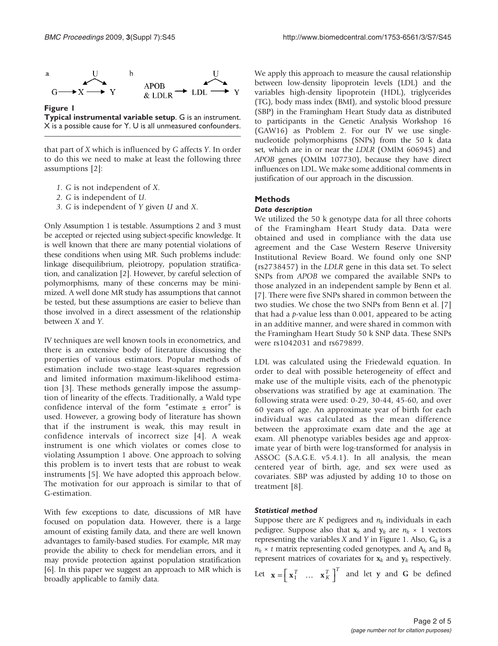<span id="page-1-0"></span>

Figure 1 Typical instrumental variable setup. G is an instrument. X is a possible cause for Y. U is all unmeasured confounders.

that part of X which is influenced by G affects Y. In order to do this we need to make at least the following three assumptions [[2](#page-4-0)]:

- 1. G is not independent of X.
- 2. G is independent of U.
- 3. G is independent of Y given U and X.

Only Assumption 1 is testable. Assumptions 2 and 3 must be accepted or rejected using subject-specific knowledge. It is well known that there are many potential violations of these conditions when using MR. Such problems include: linkage disequilibrium, pleiotropy, population stratification, and canalization [\[2](#page-4-0)]. However, by careful selection of polymorphisms, many of these concerns may be minimized. A well done MR study has assumptions that cannot be tested, but these assumptions are easier to believe than those involved in a direct assessment of the relationship between X and Y.

IV techniques are well known tools in econometrics, and there is an extensive body of literature discussing the properties of various estimators. Popular methods of estimation include two-stage least-squares regression and limited information maximum-likelihood estimation [\[3\]](#page-4-0). These methods generally impose the assumption of linearity of the effects. Traditionally, a Wald type confidence interval of the form "estimate  $\pm$  error" is used. However, a growing body of literature has shown that if the instrument is weak, this may result in confidence intervals of incorrect size [\[4](#page-4-0)]. A weak instrument is one which violates or comes close to violating Assumption 1 above. One approach to solving this problem is to invert tests that are robust to weak instruments [[5](#page-4-0)]. We have adopted this approach below. The motivation for our approach is similar to that of G-estimation.

With few exceptions to date, discussions of MR have focused on population data. However, there is a large amount of existing family data, and there are well known advantages to family-based studies. For example, MR may provide the ability to check for mendelian errors, and it may provide protection against population stratification [\[6\]](#page-4-0). In this paper we suggest an approach to MR which is broadly applicable to family data.

We apply this approach to measure the causal relationship between low-density lipoprotein levels (LDL) and the variables high-density lipoprotein (HDL), triglycerides (TG), body mass index (BMI), and systolic blood pressure (SBP) in the Framingham Heart Study data as distributed to participants in the Genetic Analysis Workshop 16 (GAW16) as Problem 2. For our IV we use singlenucleotide polymorphisms (SNPs) from the 50 k data set, which are in or near the LDLR (OMIM 606945) and APOB genes (OMIM 107730), because they have direct influences on LDL. We make some additional comments in justification of our approach in the discussion.

## Methods

### Data description

We utilized the 50 k genotype data for all three cohorts of the Framingham Heart Study data. Data were obtained and used in compliance with the data use agreement and the Case Western Reserve University Institutional Review Board. We found only one SNP (rs2738457) in the LDLR gene in this data set. To select SNPs from APOB we compared the available SNPs to those analyzed in an independent sample by Benn et al. [[7](#page-4-0)]. There were five SNPs shared in common between the two studies. We chose the two SNPs from Benn et al. [\[7\]](#page-4-0) that had a  $p$ -value less than 0.001, appeared to be acting in an additive manner, and were shared in common with the Framingham Heart Study 50 k SNP data. These SNPs were rs1042031 and rs679899.

LDL was calculated using the Friedewald equation. In order to deal with possible heterogeneity of effect and make use of the multiple visits, each of the phenotypic observations was stratified by age at examination. The following strata were used: 0-29, 30-44, 45-60, and over 60 years of age. An approximate year of birth for each individual was calculated as the mean difference between the approximate exam date and the age at exam. All phenotype variables besides age and approximate year of birth were log-transformed for analysis in ASSOC (S.A.G.E. v5.4.1). In all analysis, the mean centered year of birth, age, and sex were used as covariates. SBP was adjusted by adding 10 to those on treatment [[8](#page-4-0)].

## Statistical method

Suppose there are K pedigrees and  $n_k$  individuals in each pedigree. Suppose also that  $x_k$  and  $y_k$  are  $n_k \times 1$  vectors representing the variables  $X$  and  $Y$  in Figure 1. Also,  $G_k$  is a  $n_k \times t$  matrix representing coded genotypes, and  $A_k$  and  $B_k$ represent matrices of covariates for  $x_k$  and  $y_k$  respectively.

Let  $\mathbf{x} = \begin{bmatrix} \mathbf{x}_1^T & \dots & \mathbf{x}_K^T \end{bmatrix}^T$  and let y and G be defined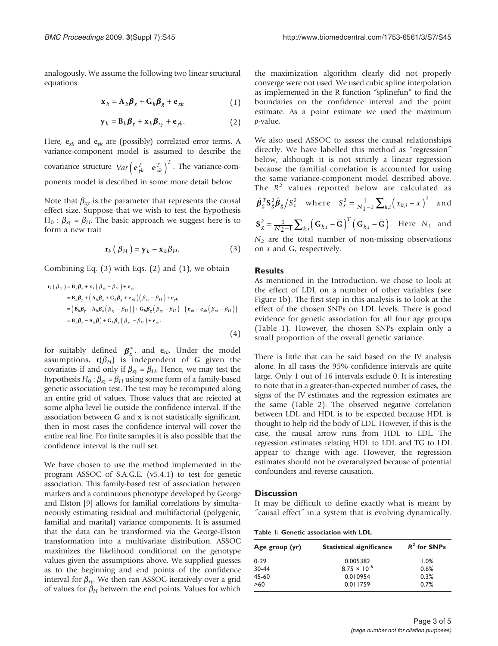analogously. We assume the following two linear structural equations:

$$
\mathbf{x}_k = \mathbf{A}_k \boldsymbol{\beta}_x + \mathbf{G}_k \boldsymbol{\beta}_g + \mathbf{e}_{xk} \tag{1}
$$

$$
\mathbf{y}_k = \mathbf{B}_k \boldsymbol{\beta}_\gamma + \mathbf{x}_k \boldsymbol{\beta}_{x\gamma} + \mathbf{e}_{\gamma k}.
$$
 (2)

Here,  $e_{xk}$  and  $e_{yk}$  are (possibly) correlated error terms. A variance-component model is assumed to describe the covariance structure  $Var\left(\mathbf{e}_{yk}^T \quad \mathbf{e}_{xk}^T\right)^T$ . The variance-components model is described in some more detail below.

Note that  $\beta_{xy}$  is the parameter that represents the causal effect size. Suppose that we wish to test the hypothesis  $H_0$ :  $\beta_{xy} = \beta_H$ . The basic approach we suggest here is to form a new trait

$$
\mathbf{r}_{k} \left( \beta_{H} \right) = \mathbf{y}_{k} - \mathbf{x}_{k} \beta_{H}. \tag{3}
$$

Combining Eq. (3) with Eqs. (2) and (1), we obtain

$$
\mathbf{r}_{k}(\beta_{H}) = \mathbf{B}_{k}\boldsymbol{\beta}_{y} + \mathbf{x}_{k}(\beta_{xy} - \beta_{H}) + \mathbf{e}_{yk}
$$
\n
$$
= \mathbf{B}_{k}\boldsymbol{\beta}_{y} + (\mathbf{A}_{k}\boldsymbol{\beta}_{x} + \mathbf{G}_{k}\boldsymbol{\beta}_{g} + \mathbf{e}_{xk})(\beta_{xy} - \beta_{H}) + \mathbf{e}_{yk}
$$
\n
$$
= (\mathbf{B}_{k}\boldsymbol{\beta}_{y} - \mathbf{A}_{k}\boldsymbol{\beta}_{x}(\beta_{xy} - \beta_{H})) + \mathbf{G}_{k}\boldsymbol{\beta}_{g}(\beta_{xy} - \beta_{H}) + (\mathbf{e}_{yk} - \mathbf{e}_{xk}(\beta_{xy} - \beta_{H}))
$$
\n
$$
= \mathbf{B}_{k}\boldsymbol{\beta}_{y} - \mathbf{A}_{k}\boldsymbol{\beta}_{x}^{*} + \mathbf{G}_{k}\boldsymbol{\beta}_{g}(\beta_{xy} - \beta_{H}) + \mathbf{e}_{rk}
$$
\n(4)

for suitably defined  $\boldsymbol{\beta}_x^*$ , and  $\mathbf{e}_{rk}$ . Under the model assumptions,  $r(\beta_H)$  is independent of G given the covariates if and only if  $\beta_{xy} = \beta_H$ . Hence, we may test the hypothesis  $H_0$ :  $\beta_{xy} = \beta_H$  using some form of a family-based genetic association test. The test may be recomputed along an entire grid of values. Those values that are rejected at some alpha level lie outside the confidence interval. If the association between G and x is not statistically significant, then in most cases the confidence interval will cover the entire real line. For finite samples it is also possible that the confidence interval is the null set.

We have chosen to use the method implemented in the program ASSOC of S.A.G.E. (v5.4.1) to test for genetic association. This family-based test of association between markers and a continuous phenotype developed by George and Elston [\[9\]](#page-4-0) allows for familial correlations by simultaneously estimating residual and multifactorial (polygenic, familial and marital) variance components. It is assumed that the data can be transformed via the George-Elston transformation into a multivariate distribution. ASSOC maximizes the likelihood conditional on the genotype values given the assumptions above. We supplied guesses as to the beginning and end points of the confidence interval for  $\beta_{xy}$ . We then ran ASSOC iteratively over a grid of values for  $\beta_H$  between the end points. Values for which

the maximization algorithm clearly did not properly converge were not used. We used cubic spline interpolation as implemented in the R function "splinefun" to find the boundaries on the confidence interval and the point estimate. As a point estimate we used the maximum p-value.

We also used ASSOC to assess the causal relationships directly. We have labelled this method as "regression" below, although it is not strictly a linear regression because the familial correlation is accounted for using the same variance-component model described above. The  $R^2$  values reported below are calculated as  $\hat{\boldsymbol{\beta}}_g^T \mathbf{S}_g^2 \hat{\boldsymbol{\beta}}_g / S_x^2$  where  $S_x^2 = \frac{1}{N_1 - 1} \sum_{k,i} (x_{k,i} - \overline{x})^2$  and  $S_8^2 = \frac{1}{N_2 - 1} \sum_{k,i} (G_{k,i} - \bar{G})^T (G_{k,i} - \bar{G})$  $\mathcal{L}_g^2 = \frac{1}{N_2 - 1} \sum_{k,i} \left( \mathbf{G}_{k,i} - \mathbf{\bar{G}} \right)^T \left( \mathbf{G}_{k,i} - \mathbf{\bar{G}} \right)$ . Here  $N_1$  and  $N_2$  are the total number of non-missing observations on  $x$  and  $G$ , respectively.

#### Results

As mentioned in the Introduction, we chose to look at the effect of LDL on a number of other variables (see [Figure 1b](#page-1-0)). The first step in this analysis is to look at the effect of the chosen SNPs on LDL levels. There is good evidence for genetic association for all four age groups (Table 1). However, the chosen SNPs explain only a small proportion of the overall genetic variance.

There is little that can be said based on the IV analysis alone. In all cases the 95% confidence intervals are quite large. Only 1 out of 16 intervals exclude 0. It is interesting to note that in a greater-than-expected number of cases, the signs of the IV estimates and the regression estimates are the same [\(Table 2\)](#page-3-0). The observed negative correlation between LDL and HDL is to be expected because HDL is thought to help rid the body of LDL. However, if this is the case, the causal arrow runs from HDL to LDL. The regression estimates relating HDL to LDL and TG to LDL appear to change with age. However, the regression estimates should not be overanalyzed because of potential confounders and reverse causation.

#### **Discussion**

It may be difficult to define exactly what is meant by "causal effect" in a system that is evolving dynamically.

Table 1: Genetic association with LDL

| Age group (yr) | <b>Statistical significance</b> | $R^2$ for SNPs |
|----------------|---------------------------------|----------------|
| $0 - 29$       | 0.005382                        | 1.0%           |
| $30-44$        | $8.75 \times 10^{-6}$           | 0.6%           |
| 45-60          | 0.010954                        | 0.3%           |
| >60            | 0.011759                        | 0.7%           |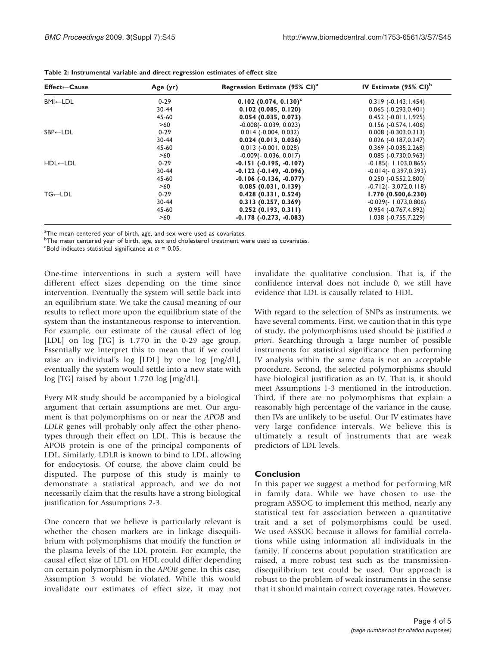| <b>Effect←Cause</b>  | Age $(yr)$ | Regression Estimate (95% CI) <sup>a</sup> | IV Estimate $(95\% \text{ Cl})^b$ |
|----------------------|------------|-------------------------------------------|-----------------------------------|
| BMI←LDL              | $0 - 29$   | $0.102$ (0.074, 0.130) <sup>c</sup>       | $0.319(-0.143, 1.454)$            |
|                      | 30-44      | 0.102(0.085, 0.120)                       | $0.065$ (-0.293,0.401)            |
|                      | 45-60      | 0.054(0.035, 0.073)                       | $0.452$ (-0.011, 1.925)           |
|                      | >60        | $-0.008(-0.039, 0.023)$                   | $0.156(-0.574, 1.406)$            |
| $SBP\leftarrow LDL$  | $0 - 29$   | $0.014$ ( $-0.004$ , $0.032$ )            | $0.008(-0.303, 0.313)$            |
|                      | 30-44      | 0.024(0.013, 0.036)                       | $0.026$ (-0.187,0.247)            |
|                      | 45-60      | $0.013$ (-0.001, 0.028)                   | $0.369$ ( $-0.035,2.268$ )        |
|                      | >60        | $-0.009(-0.036, 0.017)$                   | $0.085$ (-0.730,0.963)            |
| $HDL \leftarrow LDL$ | $0 - 29$   | $-0.151(-0.195,-0.107)$                   | $-0.185(-1.103, 0.865)$           |
|                      | $30 - 44$  | $-0.122$ ( $-0.149$ , $-0.096$ )          | $-0.014(-0.397, 0.393)$           |
|                      | 45-60      | $-0.106(-0.136,-0.077)$                   | $0.250(-0.552, 2.800)$            |
|                      | >60        | 0.085(0.031, 0.139)                       | $-0.712(-3.072, 0.118)$           |
| $TG \leftarrow LDL$  | $0 - 29$   | $0.428$ (0.331, 0.524)                    | 1.770(0.500, 6.230)               |
|                      | 30-44      | 0.313(0.257, 0.369)                       | $-0.029(-1.073, 0.806)$           |
|                      | 45-60      | 0.252(0.193, 0.311)                       | 0.954 (-0.767,4.892)              |
|                      | >60        | $-0.178(-0.273,-0.083)$                   | $1.038(-0.755, 7.229)$            |

<span id="page-3-0"></span>Table 2: Instrumental variable and direct regression estimates of effect size

<sup>a</sup>The mean centered year of birth, age, and sex were used as covariates.

<sup>b</sup>The mean centered year of birth, age, sex and cholesterol treatment were used as covariates.

<sup>c</sup>Bold indicates statistical significance at  $\alpha$  = 0.05.

One-time interventions in such a system will have different effect sizes depending on the time since intervention. Eventually the system will settle back into an equilibrium state. We take the causal meaning of our results to reflect more upon the equilibrium state of the system than the instantaneous response to intervention. For example, our estimate of the causal effect of log [LDL] on log [TG] is 1.770 in the 0-29 age group. Essentially we interpret this to mean that if we could raise an individual's log [LDL] by one log [mg/dL], eventually the system would settle into a new state with log [TG] raised by about 1.770 log [mg/dL].

Every MR study should be accompanied by a biological argument that certain assumptions are met. Our argument is that polymorphisms on or near the APOB and LDLR genes will probably only affect the other phenotypes through their effect on LDL. This is because the APOB protein is one of the principal components of LDL. Similarly, LDLR is known to bind to LDL, allowing for endocytosis. Of course, the above claim could be disputed. The purpose of this study is mainly to demonstrate a statistical approach, and we do not necessarily claim that the results have a strong biological justification for Assumptions 2-3.

One concern that we believe is particularly relevant is whether the chosen markers are in linkage disequilibrium with polymorphisms that modify the function or the plasma levels of the LDL protein. For example, the causal effect size of LDL on HDL could differ depending on certain polymorphism in the APOB gene. In this case, Assumption 3 would be violated. While this would invalidate our estimates of effect size, it may not invalidate the qualitative conclusion. That is, if the confidence interval does not include 0, we still have evidence that LDL is causally related to HDL.

With regard to the selection of SNPs as instruments, we have several comments. First, we caution that in this type of study, the polymorphisms used should be justified a priori. Searching through a large number of possible instruments for statistical significance then performing IV analysis within the same data is not an acceptable procedure. Second, the selected polymorphisms should have biological justification as an IV. That is, it should meet Assumptions 1-3 mentioned in the introduction. Third, if there are no polymorphisms that explain a reasonably high percentage of the variance in the cause, then IVs are unlikely to be useful. Our IV estimates have very large confidence intervals. We believe this is ultimately a result of instruments that are weak predictors of LDL levels.

## Conclusion

In this paper we suggest a method for performing MR in family data. While we have chosen to use the program ASSOC to implement this method, nearly any statistical test for association between a quantitative trait and a set of polymorphisms could be used. We used ASSOC because it allows for familial correlations while using information all individuals in the family. If concerns about population stratification are raised, a more robust test such as the transmissiondisequilibrium test could be used. Our approach is robust to the problem of weak instruments in the sense that it should maintain correct coverage rates. However,